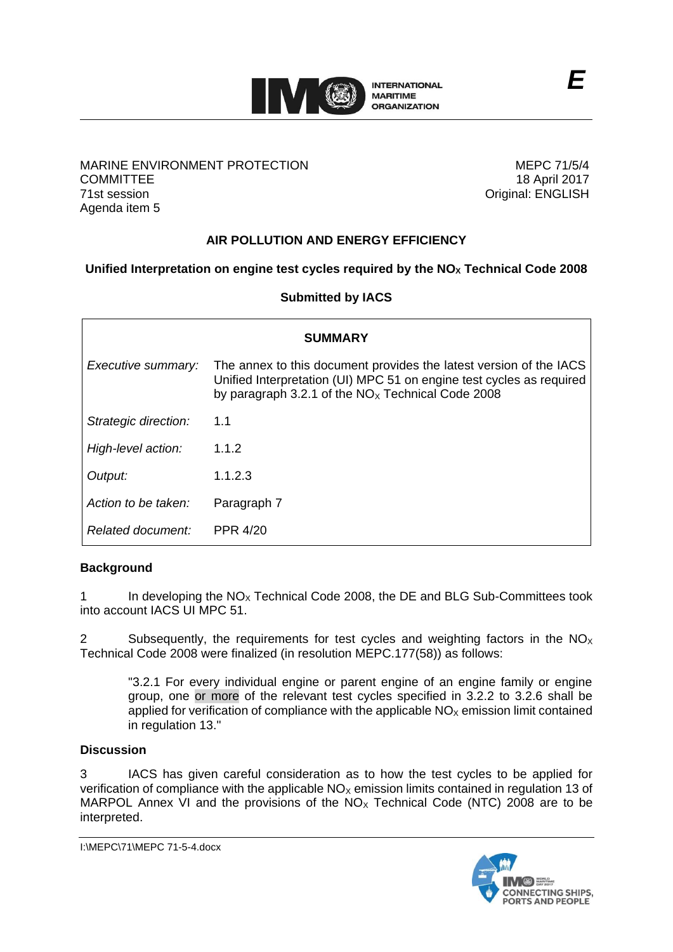

## MARINE ENVIRONMENT PROTECTION **COMMITTEE** 71st session Agenda item 5

MEPC 71/5/4 18 April 2017 Original: ENGLISH

# **AIR POLLUTION AND ENERGY EFFICIENCY**

# **Unified Interpretation on engine test cycles required by the NO<sup>X</sup> Technical Code 2008**

### **Submitted by IACS**

| <b>SUMMARY</b>       |                                                                                                                                                                                                   |
|----------------------|---------------------------------------------------------------------------------------------------------------------------------------------------------------------------------------------------|
| Executive summary:   | The annex to this document provides the latest version of the IACS<br>Unified Interpretation (UI) MPC 51 on engine test cycles as required<br>by paragraph 3.2.1 of the $NOx$ Technical Code 2008 |
| Strategic direction: | 1.1                                                                                                                                                                                               |
| High-level action:   | 1.1.2                                                                                                                                                                                             |
| Output:              | 1.1.2.3                                                                                                                                                                                           |
| Action to be taken:  | Paragraph 7                                                                                                                                                                                       |
| Related document:    | <b>PPR 4/20</b>                                                                                                                                                                                   |

# **Background**

1 In developing the  $NO<sub>x</sub>$  Technical Code 2008, the DE and BLG Sub-Committees took into account IACS UI MPC 51.

2 Subsequently, the requirements for test cycles and weighting factors in the  $NO<sub>X</sub>$ Technical Code 2008 were finalized (in resolution MEPC.177(58)) as follows:

"3.2.1 For every individual engine or parent engine of an engine family or engine group, one or more of the relevant test cycles specified in 3.2.2 to 3.2.6 shall be applied for verification of compliance with the applicable  $NO<sub>X</sub>$  emission limit contained in regulation 13."

### **Discussion**

3 IACS has given careful consideration as to how the test cycles to be applied for verification of compliance with the applicable  $NO<sub>x</sub>$  emission limits contained in regulation 13 of MARPOL Annex VI and the provisions of the  $NO<sub>x</sub>$  Technical Code (NTC) 2008 are to be interpreted.

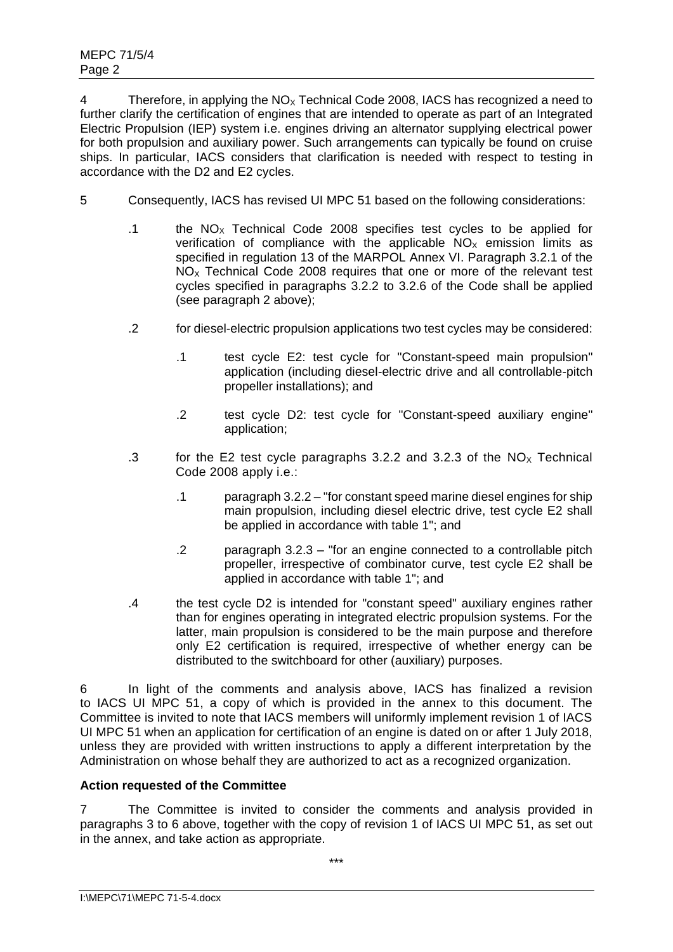4 Therefore, in applying the  $NO<sub>X</sub>$  Technical Code 2008, IACS has recognized a need to further clarify the certification of engines that are intended to operate as part of an Integrated Electric Propulsion (IEP) system i.e. engines driving an alternator supplying electrical power for both propulsion and auxiliary power. Such arrangements can typically be found on cruise ships. In particular, IACS considers that clarification is needed with respect to testing in accordance with the D2 and E2 cycles.

- 5 Consequently, IACS has revised UI MPC 51 based on the following considerations:
	- .1 the  $NO<sub>x</sub>$  Technical Code 2008 specifies test cycles to be applied for verification of compliance with the applicable  $NO<sub>x</sub>$  emission limits as specified in regulation 13 of the MARPOL Annex VI. Paragraph 3.2.1 of the  $NO<sub>x</sub>$  Technical Code 2008 requires that one or more of the relevant test cycles specified in paragraphs 3.2.2 to 3.2.6 of the Code shall be applied (see paragraph 2 above);
	- .2 for diesel-electric propulsion applications two test cycles may be considered:
		- .1 test cycle E2: test cycle for "Constant-speed main propulsion" application (including diesel-electric drive and all controllable-pitch propeller installations); and
		- .2 test cycle D2: test cycle for "Constant-speed auxiliary engine" application;
	- .3 for the E2 test cycle paragraphs 3.2.2 and 3.2.3 of the  $NO<sub>x</sub>$  Technical Code 2008 apply i.e.:
		- .1 paragraph 3.2.2 "for constant speed marine diesel engines for ship main propulsion, including diesel electric drive, test cycle E2 shall be applied in accordance with table 1"; and
		- .2 paragraph 3.2.3 "for an engine connected to a controllable pitch propeller, irrespective of combinator curve, test cycle E2 shall be applied in accordance with table 1"; and
	- .4 the test cycle D2 is intended for "constant speed" auxiliary engines rather than for engines operating in integrated electric propulsion systems. For the latter, main propulsion is considered to be the main purpose and therefore only E2 certification is required, irrespective of whether energy can be distributed to the switchboard for other (auxiliary) purposes.

6 In light of the comments and analysis above, IACS has finalized a revision to IACS UI MPC 51, a copy of which is provided in the annex to this document. The Committee is invited to note that IACS members will uniformly implement revision 1 of IACS UI MPC 51 when an application for certification of an engine is dated on or after 1 July 2018, unless they are provided with written instructions to apply a different interpretation by the Administration on whose behalf they are authorized to act as a recognized organization.

# **Action requested of the Committee**

7 The Committee is invited to consider the comments and analysis provided in paragraphs 3 to 6 above, together with the copy of revision 1 of IACS UI MPC 51, as set out in the annex, and take action as appropriate.